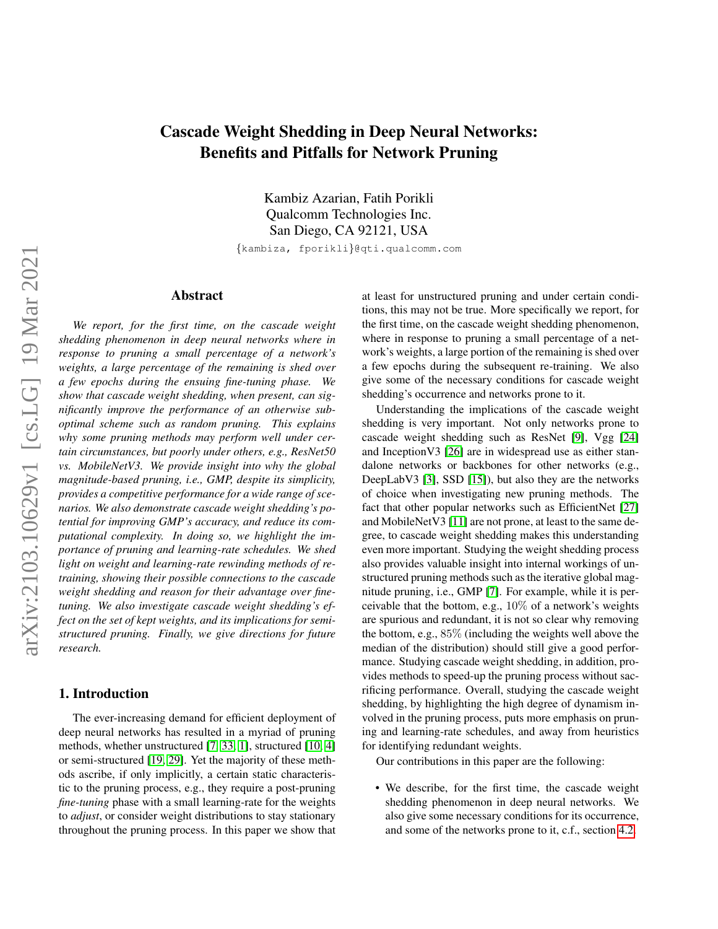# Cascade Weight Shedding in Deep Neural Networks: Benefits and Pitfalls for Network Pruning

Kambiz Azarian, Fatih Porikli Qualcomm Technologies Inc. San Diego, CA 92121, USA

{kambiza, fporikli}@qti.qualcomm.com

## Abstract

*We report, for the first time, on the cascade weight shedding phenomenon in deep neural networks where in response to pruning a small percentage of a network's weights, a large percentage of the remaining is shed over a few epochs during the ensuing fine-tuning phase. We show that cascade weight shedding, when present, can significantly improve the performance of an otherwise suboptimal scheme such as random pruning. This explains why some pruning methods may perform well under certain circumstances, but poorly under others, e.g., ResNet50 vs. MobileNetV3. We provide insight into why the global magnitude-based pruning, i.e., GMP, despite its simplicity, provides a competitive performance for a wide range of scenarios. We also demonstrate cascade weight shedding's potential for improving GMP's accuracy, and reduce its computational complexity. In doing so, we highlight the importance of pruning and learning-rate schedules. We shed light on weight and learning-rate rewinding methods of retraining, showing their possible connections to the cascade weight shedding and reason for their advantage over finetuning. We also investigate cascade weight shedding's effect on the set of kept weights, and its implications for semistructured pruning. Finally, we give directions for future research.*

#### 1. Introduction

The ever-increasing demand for efficient deployment of deep neural networks has resulted in a myriad of pruning methods, whether unstructured [\[7,](#page-7-0) [33,](#page-8-0) [1\]](#page-7-1), structured [\[10,](#page-7-2) [4\]](#page-7-3) or semi-structured [\[19,](#page-8-1) [29\]](#page-8-2). Yet the majority of these methods ascribe, if only implicitly, a certain static characteristic to the pruning process, e.g., they require a post-pruning *fine-tuning* phase with a small learning-rate for the weights to *adjust*, or consider weight distributions to stay stationary throughout the pruning process. In this paper we show that at least for unstructured pruning and under certain conditions, this may not be true. More specifically we report, for the first time, on the cascade weight shedding phenomenon, where in response to pruning a small percentage of a network's weights, a large portion of the remaining is shed over a few epochs during the subsequent re-training. We also give some of the necessary conditions for cascade weight shedding's occurrence and networks prone to it.

Understanding the implications of the cascade weight shedding is very important. Not only networks prone to cascade weight shedding such as ResNet [\[9\]](#page-7-4), Vgg [\[24\]](#page-8-3) and InceptionV3 [\[26\]](#page-8-4) are in widespread use as either standalone networks or backbones for other networks (e.g., DeepLabV3 [\[3\]](#page-7-5), SSD [\[15\]](#page-8-5)), but also they are the networks of choice when investigating new pruning methods. The fact that other popular networks such as EfficientNet [\[27\]](#page-8-6) and MobileNetV3 [\[11\]](#page-7-6) are not prone, at least to the same degree, to cascade weight shedding makes this understanding even more important. Studying the weight shedding process also provides valuable insight into internal workings of unstructured pruning methods such as the iterative global magnitude pruning, i.e., GMP [\[7\]](#page-7-0). For example, while it is perceivable that the bottom, e.g.,  $10\%$  of a network's weights are spurious and redundant, it is not so clear why removing the bottom, e.g., 85% (including the weights well above the median of the distribution) should still give a good performance. Studying cascade weight shedding, in addition, provides methods to speed-up the pruning process without sacrificing performance. Overall, studying the cascade weight shedding, by highlighting the high degree of dynamism involved in the pruning process, puts more emphasis on pruning and learning-rate schedules, and away from heuristics for identifying redundant weights.

Our contributions in this paper are the following:

• We describe, for the first time, the cascade weight shedding phenomenon in deep neural networks. We also give some necessary conditions for its occurrence, and some of the networks prone to it, c.f., section [4.2.](#page-3-0)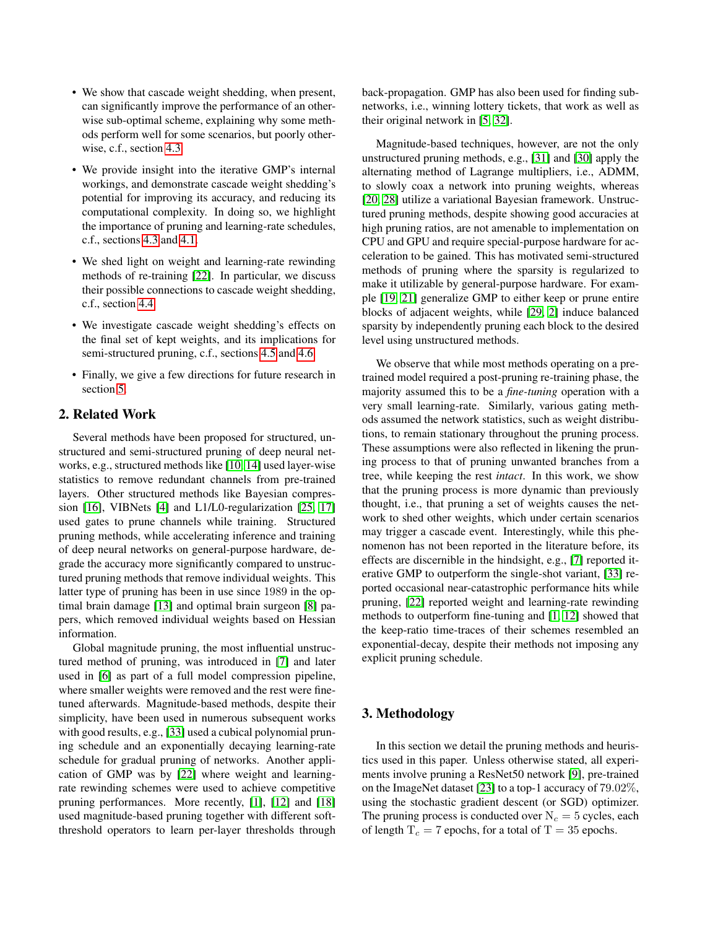- We show that cascade weight shedding, when present, can significantly improve the performance of an otherwise sub-optimal scheme, explaining why some methods perform well for some scenarios, but poorly otherwise, c.f., section [4.3.](#page-4-0)
- We provide insight into the iterative GMP's internal workings, and demonstrate cascade weight shedding's potential for improving its accuracy, and reducing its computational complexity. In doing so, we highlight the importance of pruning and learning-rate schedules, c.f., sections [4.3](#page-4-0) and [4.1.](#page-3-1)
- We shed light on weight and learning-rate rewinding methods of re-training [\[22\]](#page-8-7). In particular, we discuss their possible connections to cascade weight shedding, c.f., section [4.4.](#page-5-0)
- We investigate cascade weight shedding's effects on the final set of kept weights, and its implications for semi-structured pruning, c.f., sections [4.5](#page-5-1) and [4.6.](#page-6-0)
- Finally, we give a few directions for future research in section [5.](#page-6-1)

# 2. Related Work

Several methods have been proposed for structured, unstructured and semi-structured pruning of deep neural networks, e.g., structured methods like [\[10,](#page-7-2) [14\]](#page-8-8) used layer-wise statistics to remove redundant channels from pre-trained layers. Other structured methods like Bayesian compression [\[16\]](#page-8-9), VIBNets [\[4\]](#page-7-3) and L1/L0-regularization [\[25,](#page-8-10) [17\]](#page-8-11) used gates to prune channels while training. Structured pruning methods, while accelerating inference and training of deep neural networks on general-purpose hardware, degrade the accuracy more significantly compared to unstructured pruning methods that remove individual weights. This latter type of pruning has been in use since 1989 in the optimal brain damage [\[13\]](#page-8-12) and optimal brain surgeon [\[8\]](#page-7-7) papers, which removed individual weights based on Hessian information.

Global magnitude pruning, the most influential unstructured method of pruning, was introduced in [\[7\]](#page-7-0) and later used in [\[6\]](#page-7-8) as part of a full model compression pipeline, where smaller weights were removed and the rest were finetuned afterwards. Magnitude-based methods, despite their simplicity, have been used in numerous subsequent works with good results, e.g., [\[33\]](#page-8-0) used a cubical polynomial pruning schedule and an exponentially decaying learning-rate schedule for gradual pruning of networks. Another application of GMP was by [\[22\]](#page-8-7) where weight and learningrate rewinding schemes were used to achieve competitive pruning performances. More recently, [\[1\]](#page-7-1), [\[12\]](#page-8-13) and [\[18\]](#page-8-14) used magnitude-based pruning together with different softthreshold operators to learn per-layer thresholds through back-propagation. GMP has also been used for finding subnetworks, i.e., winning lottery tickets, that work as well as their original network in [\[5,](#page-7-9) [32\]](#page-8-15).

Magnitude-based techniques, however, are not the only unstructured pruning methods, e.g., [\[31\]](#page-8-16) and [\[30\]](#page-8-17) apply the alternating method of Lagrange multipliers, i.e., ADMM, to slowly coax a network into pruning weights, whereas [\[20,](#page-8-18) [28\]](#page-8-19) utilize a variational Bayesian framework. Unstructured pruning methods, despite showing good accuracies at high pruning ratios, are not amenable to implementation on CPU and GPU and require special-purpose hardware for acceleration to be gained. This has motivated semi-structured methods of pruning where the sparsity is regularized to make it utilizable by general-purpose hardware. For example [\[19,](#page-8-1) [21\]](#page-8-20) generalize GMP to either keep or prune entire blocks of adjacent weights, while [\[29,](#page-8-2) [2\]](#page-7-10) induce balanced sparsity by independently pruning each block to the desired level using unstructured methods.

We observe that while most methods operating on a pretrained model required a post-pruning re-training phase, the majority assumed this to be a *fine-tuning* operation with a very small learning-rate. Similarly, various gating methods assumed the network statistics, such as weight distributions, to remain stationary throughout the pruning process. These assumptions were also reflected in likening the pruning process to that of pruning unwanted branches from a tree, while keeping the rest *intact*. In this work, we show that the pruning process is more dynamic than previously thought, i.e., that pruning a set of weights causes the network to shed other weights, which under certain scenarios may trigger a cascade event. Interestingly, while this phenomenon has not been reported in the literature before, its effects are discernible in the hindsight, e.g., [\[7\]](#page-7-0) reported iterative GMP to outperform the single-shot variant, [\[33\]](#page-8-0) reported occasional near-catastrophic performance hits while pruning, [\[22\]](#page-8-7) reported weight and learning-rate rewinding methods to outperform fine-tuning and [\[1,](#page-7-1) [12\]](#page-8-13) showed that the keep-ratio time-traces of their schemes resembled an exponential-decay, despite their methods not imposing any explicit pruning schedule.

# 3. Methodology

In this section we detail the pruning methods and heuristics used in this paper. Unless otherwise stated, all experiments involve pruning a ResNet50 network [\[9\]](#page-7-4), pre-trained on the ImageNet dataset [\[23\]](#page-8-21) to a top-1 accuracy of 79.02%, using the stochastic gradient descent (or SGD) optimizer. The pruning process is conducted over  $N_c = 5$  cycles, each of length  $T_c = 7$  epochs, for a total of  $T = 35$  epochs.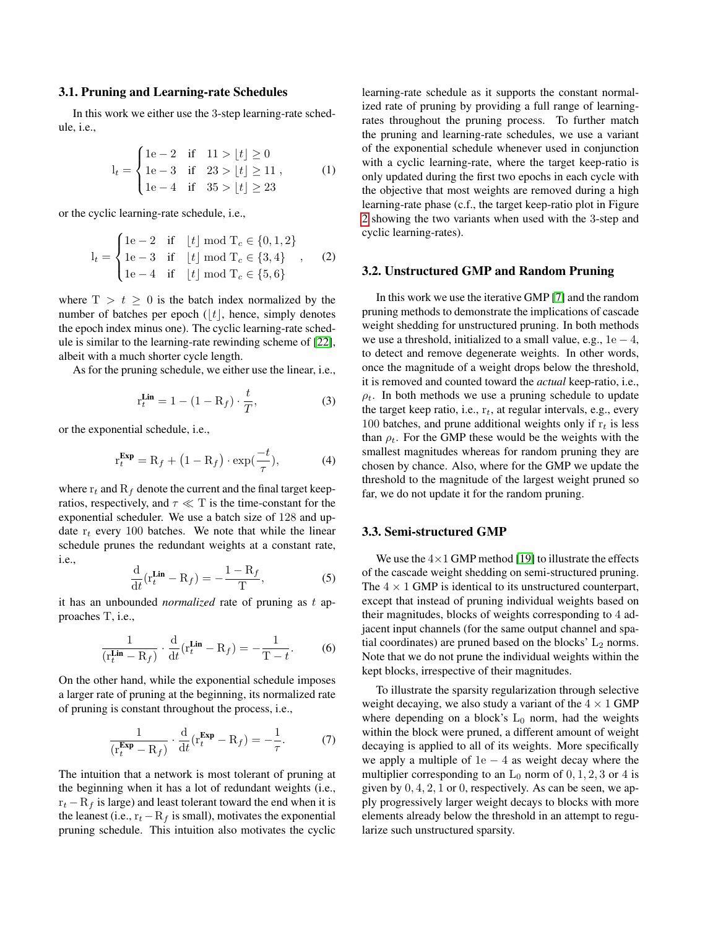#### <span id="page-2-0"></span>3.1. Pruning and Learning-rate Schedules

In this work we either use the 3-step learning-rate schedule, i.e.,

$$
l_{t} = \begin{cases} 1e-2 & \text{if } 11 > \lfloor t \rfloor \ge 0 \\ 1e-3 & \text{if } 23 > \lfloor t \rfloor \ge 11 \\ 1e-4 & \text{if } 35 > \lfloor t \rfloor \ge 23 \end{cases}
$$
 (1)

or the cyclic learning-rate schedule, i.e.,

$$
l_{t} = \begin{cases} 1e-2 & \text{if } \lfloor t \rfloor \bmod T_{c} \in \{0,1,2\} \\ 1e-3 & \text{if } \lfloor t \rfloor \bmod T_{c} \in \{3,4\} \\ 1e-4 & \text{if } \lfloor t \rfloor \bmod T_{c} \in \{5,6\} \end{cases}
$$
 (2)

where  $T > t \geq 0$  is the batch index normalized by the number of batches per epoch  $(|t|,$  hence, simply denotes the epoch index minus one). The cyclic learning-rate schedule is similar to the learning-rate rewinding scheme of [\[22\]](#page-8-7), albeit with a much shorter cycle length.

As for the pruning schedule, we either use the linear, i.e.,

$$
\mathbf{r}_t^{\text{Lin}} = 1 - (1 - \mathbf{R}_f) \cdot \frac{t}{T},\tag{3}
$$

or the exponential schedule, i.e.,

$$
\mathbf{r}_t^{\mathbf{Exp}} = \mathbf{R}_f + \left(1 - \mathbf{R}_f\right) \cdot \exp(\frac{-t}{\tau}),\tag{4}
$$

where  $r_t$  and  $R_f$  denote the current and the final target keepratios, respectively, and  $\tau \ll T$  is the time-constant for the exponential scheduler. We use a batch size of 128 and update  $r_t$  every 100 batches. We note that while the linear schedule prunes the redundant weights at a constant rate, i.e.,

$$
\frac{\mathrm{d}}{\mathrm{d}t}(\mathbf{r}_t^{\mathbf{Lin}} - \mathbf{R}_f) = -\frac{1 - \mathbf{R}_f}{\mathrm{T}},\tag{5}
$$

it has an unbounded *normalized* rate of pruning as t approaches T, i.e.,

$$
\frac{1}{(\mathbf{r}_t^{\mathbf{Lin}} - \mathbf{R}_f)} \cdot \frac{\mathrm{d}}{\mathrm{d}t} (\mathbf{r}_t^{\mathbf{Lin}} - \mathbf{R}_f) = -\frac{1}{\mathrm{T} - t}.
$$
 (6)

On the other hand, while the exponential schedule imposes a larger rate of pruning at the beginning, its normalized rate of pruning is constant throughout the process, i.e.,

<span id="page-2-1"></span>
$$
\frac{1}{(\mathbf{r}_t^{\mathbf{Exp}} - \mathbf{R}_f)} \cdot \frac{\mathrm{d}}{\mathrm{d}t} (\mathbf{r}_t^{\mathbf{Exp}} - \mathbf{R}_f) = -\frac{1}{\tau}.
$$
 (7)

The intuition that a network is most tolerant of pruning at the beginning when it has a lot of redundant weights (i.e.,  $r_t - R_f$  is large) and least tolerant toward the end when it is the leanest (i.e.,  $r_t - R_f$  is small), motivates the exponential pruning schedule. This intuition also motivates the cyclic learning-rate schedule as it supports the constant normalized rate of pruning by providing a full range of learningrates throughout the pruning process. To further match the pruning and learning-rate schedules, we use a variant of the exponential schedule whenever used in conjunction with a cyclic learning-rate, where the target keep-ratio is only updated during the first two epochs in each cycle with the objective that most weights are removed during a high learning-rate phase (c.f., the target keep-ratio plot in Figure [2](#page-3-2) showing the two variants when used with the 3-step and cyclic learning-rates).

#### 3.2. Unstructured GMP and Random Pruning

In this work we use the iterative GMP [\[7\]](#page-7-0) and the random pruning methods to demonstrate the implications of cascade weight shedding for unstructured pruning. In both methods we use a threshold, initialized to a small value, e.g.,  $1e - 4$ , to detect and remove degenerate weights. In other words, once the magnitude of a weight drops below the threshold, it is removed and counted toward the *actual* keep-ratio, i.e.,  $\rho_t$ . In both methods we use a pruning schedule to update the target keep ratio, i.e.,  $r_t$ , at regular intervals, e.g., every 100 batches, and prune additional weights only if  $r_t$  is less than  $\rho_t$ . For the GMP these would be the weights with the smallest magnitudes whereas for random pruning they are chosen by chance. Also, where for the GMP we update the threshold to the magnitude of the largest weight pruned so far, we do not update it for the random pruning.

#### <span id="page-2-2"></span>3.3. Semi-structured GMP

We use the  $4\times1$  GMP method [\[19\]](#page-8-1) to illustrate the effects of the cascade weight shedding on semi-structured pruning. The  $4 \times 1$  GMP is identical to its unstructured counterpart, except that instead of pruning individual weights based on their magnitudes, blocks of weights corresponding to 4 adjacent input channels (for the same output channel and spatial coordinates) are pruned based on the blocks'  $L_2$  norms. Note that we do not prune the individual weights within the kept blocks, irrespective of their magnitudes.

To illustrate the sparsity regularization through selective weight decaying, we also study a variant of the  $4 \times 1$  GMP where depending on a block's  $L_0$  norm, had the weights within the block were pruned, a different amount of weight decaying is applied to all of its weights. More specifically we apply a multiple of  $1e - 4$  as weight decay where the multiplier corresponding to an  $L_0$  norm of  $0, 1, 2, 3$  or 4 is given by  $0, 4, 2, 1$  or 0, respectively. As can be seen, we apply progressively larger weight decays to blocks with more elements already below the threshold in an attempt to regularize such unstructured sparsity.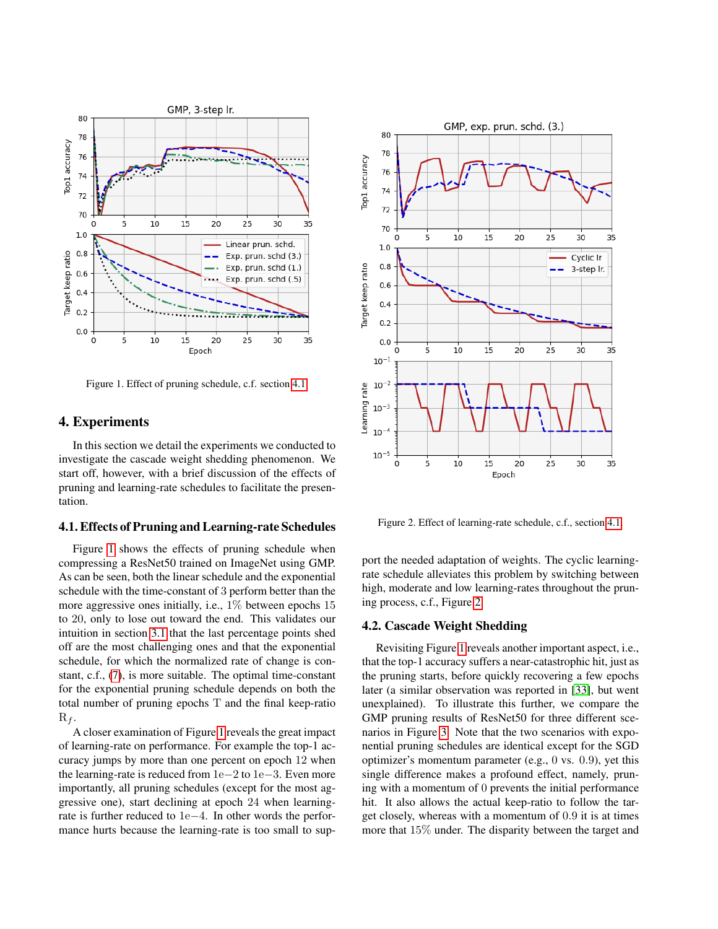

<span id="page-3-3"></span>Figure 1. Effect of pruning schedule, c.f. section [4.1.](#page-3-1)

## 4. Experiments

In this section we detail the experiments we conducted to investigate the cascade weight shedding phenomenon. We start off, however, with a brief discussion of the effects of pruning and learning-rate schedules to facilitate the presentation.

#### <span id="page-3-1"></span>4.1. Effects of Pruning and Learning-rate Schedules

Figure [1](#page-3-3) shows the effects of pruning schedule when compressing a ResNet50 trained on ImageNet using GMP. As can be seen, both the linear schedule and the exponential schedule with the time-constant of 3 perform better than the more aggressive ones initially, i.e., 1% between epochs 15 to 20, only to lose out toward the end. This validates our intuition in section [3.1](#page-2-0) that the last percentage points shed off are the most challenging ones and that the exponential schedule, for which the normalized rate of change is constant, c.f., [\(7\)](#page-2-1), is more suitable. The optimal time-constant for the exponential pruning schedule depends on both the total number of pruning epochs T and the final keep-ratio  $R_f$ .

A closer examination of Figure [1](#page-3-3) reveals the great impact of learning-rate on performance. For example the top-1 accuracy jumps by more than one percent on epoch 12 when the learning-rate is reduced from 1e−2 to 1e−3. Even more importantly, all pruning schedules (except for the most aggressive one), start declining at epoch 24 when learningrate is further reduced to 1e−4. In other words the performance hurts because the learning-rate is too small to sup-



<span id="page-3-2"></span>Figure 2. Effect of learning-rate schedule, c.f., section [4.1.](#page-3-1)

port the needed adaptation of weights. The cyclic learningrate schedule alleviates this problem by switching between high, moderate and low learning-rates throughout the pruning process, c.f., Figure [2.](#page-3-2)

## <span id="page-3-0"></span>4.2. Cascade Weight Shedding

Revisiting Figure [1](#page-3-3) reveals another important aspect, i.e., that the top-1 accuracy suffers a near-catastrophic hit, just as the pruning starts, before quickly recovering a few epochs later (a similar observation was reported in [\[33\]](#page-8-0), but went unexplained). To illustrate this further, we compare the GMP pruning results of ResNet50 for three different scenarios in Figure [3.](#page-4-1) Note that the two scenarios with exponential pruning schedules are identical except for the SGD optimizer's momentum parameter (e.g., 0 vs. 0.9), yet this single difference makes a profound effect, namely, pruning with a momentum of 0 prevents the initial performance hit. It also allows the actual keep-ratio to follow the target closely, whereas with a momentum of 0.9 it is at times more that 15% under. The disparity between the target and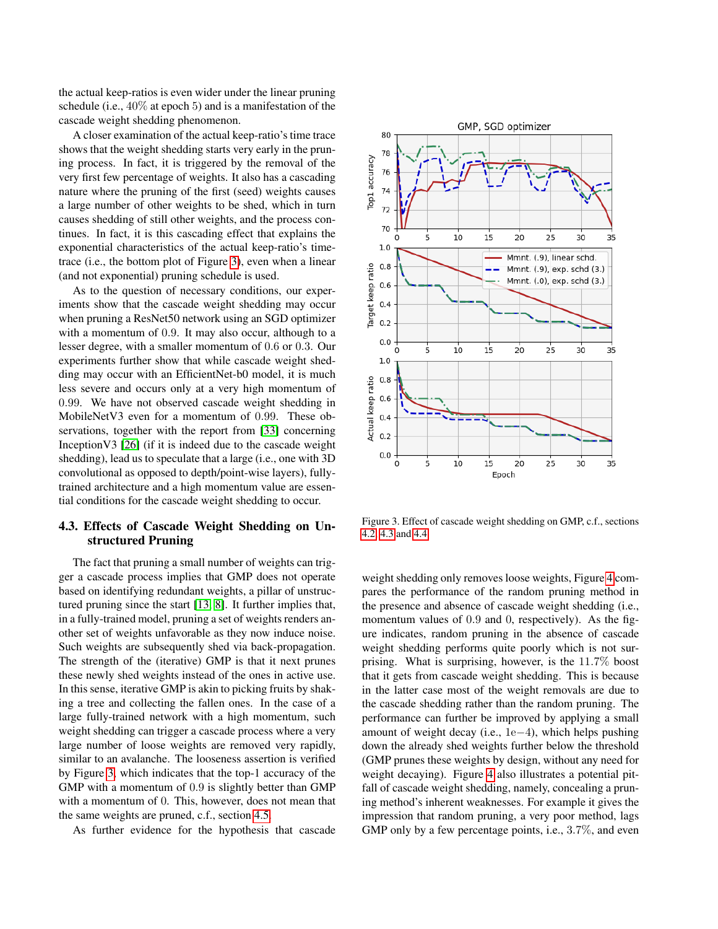the actual keep-ratios is even wider under the linear pruning schedule (i.e., 40% at epoch 5) and is a manifestation of the cascade weight shedding phenomenon.

A closer examination of the actual keep-ratio's time trace shows that the weight shedding starts very early in the pruning process. In fact, it is triggered by the removal of the very first few percentage of weights. It also has a cascading nature where the pruning of the first (seed) weights causes a large number of other weights to be shed, which in turn causes shedding of still other weights, and the process continues. In fact, it is this cascading effect that explains the exponential characteristics of the actual keep-ratio's timetrace (i.e., the bottom plot of Figure [3\)](#page-4-1), even when a linear (and not exponential) pruning schedule is used.

As to the question of necessary conditions, our experiments show that the cascade weight shedding may occur when pruning a ResNet50 network using an SGD optimizer with a momentum of 0.9. It may also occur, although to a lesser degree, with a smaller momentum of 0.6 or 0.3. Our experiments further show that while cascade weight shedding may occur with an EfficientNet-b0 model, it is much less severe and occurs only at a very high momentum of 0.99. We have not observed cascade weight shedding in MobileNetV3 even for a momentum of 0.99. These observations, together with the report from [\[33\]](#page-8-0) concerning InceptionV3 [\[26\]](#page-8-4) (if it is indeed due to the cascade weight shedding), lead us to speculate that a large (i.e., one with 3D convolutional as opposed to depth/point-wise layers), fullytrained architecture and a high momentum value are essential conditions for the cascade weight shedding to occur.

# <span id="page-4-0"></span>4.3. Effects of Cascade Weight Shedding on Unstructured Pruning

The fact that pruning a small number of weights can trigger a cascade process implies that GMP does not operate based on identifying redundant weights, a pillar of unstructured pruning since the start [\[13,](#page-8-12) [8\]](#page-7-7). It further implies that, in a fully-trained model, pruning a set of weights renders another set of weights unfavorable as they now induce noise. Such weights are subsequently shed via back-propagation. The strength of the (iterative) GMP is that it next prunes these newly shed weights instead of the ones in active use. In this sense, iterative GMP is akin to picking fruits by shaking a tree and collecting the fallen ones. In the case of a large fully-trained network with a high momentum, such weight shedding can trigger a cascade process where a very large number of loose weights are removed very rapidly, similar to an avalanche. The looseness assertion is verified by Figure [3,](#page-4-1) which indicates that the top-1 accuracy of the GMP with a momentum of 0.9 is slightly better than GMP with a momentum of 0. This, however, does not mean that the same weights are pruned, c.f., section [4.5.](#page-5-1)

As further evidence for the hypothesis that cascade



<span id="page-4-1"></span>Figure 3. Effect of cascade weight shedding on GMP, c.f., sections [4.2,](#page-3-0) [4.3](#page-4-0) and [4.4.](#page-5-0)

weight shedding only removes loose weights, Figure [4](#page-5-2) compares the performance of the random pruning method in the presence and absence of cascade weight shedding (i.e., momentum values of 0.9 and 0, respectively). As the figure indicates, random pruning in the absence of cascade weight shedding performs quite poorly which is not surprising. What is surprising, however, is the 11.7% boost that it gets from cascade weight shedding. This is because in the latter case most of the weight removals are due to the cascade shedding rather than the random pruning. The performance can further be improved by applying a small amount of weight decay (i.e., 1e−4), which helps pushing down the already shed weights further below the threshold (GMP prunes these weights by design, without any need for weight decaying). Figure [4](#page-5-2) also illustrates a potential pitfall of cascade weight shedding, namely, concealing a pruning method's inherent weaknesses. For example it gives the impression that random pruning, a very poor method, lags GMP only by a few percentage points, i.e., 3.7%, and even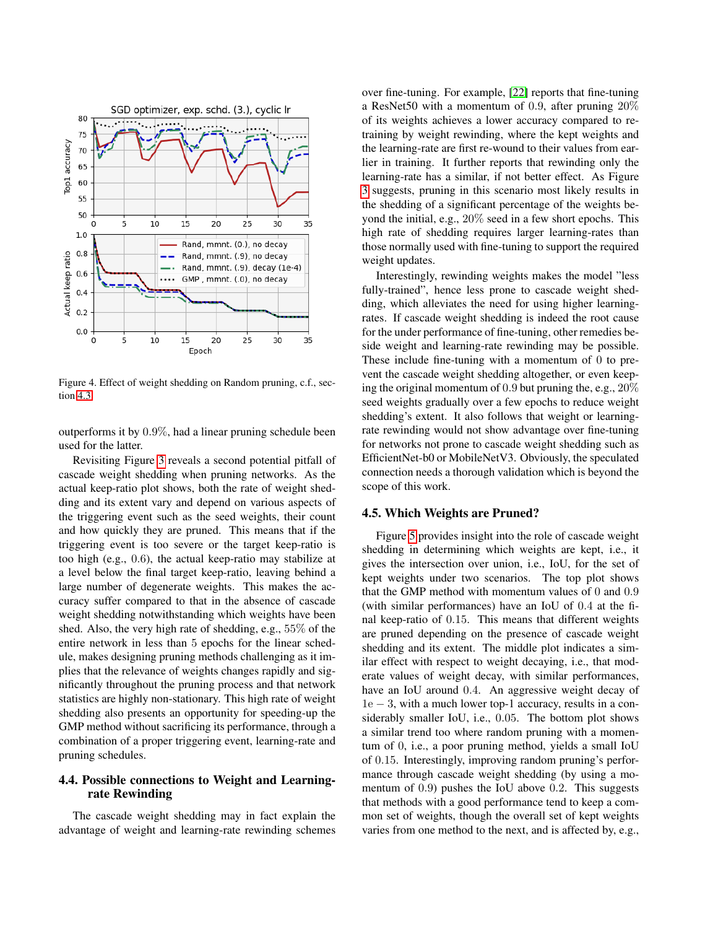

<span id="page-5-2"></span>Figure 4. Effect of weight shedding on Random pruning, c.f., section [4.3.](#page-4-0)

outperforms it by 0.9%, had a linear pruning schedule been used for the latter.

Revisiting Figure [3](#page-4-1) reveals a second potential pitfall of cascade weight shedding when pruning networks. As the actual keep-ratio plot shows, both the rate of weight shedding and its extent vary and depend on various aspects of the triggering event such as the seed weights, their count and how quickly they are pruned. This means that if the triggering event is too severe or the target keep-ratio is too high (e.g., 0.6), the actual keep-ratio may stabilize at a level below the final target keep-ratio, leaving behind a large number of degenerate weights. This makes the accuracy suffer compared to that in the absence of cascade weight shedding notwithstanding which weights have been shed. Also, the very high rate of shedding, e.g., 55% of the entire network in less than 5 epochs for the linear schedule, makes designing pruning methods challenging as it implies that the relevance of weights changes rapidly and significantly throughout the pruning process and that network statistics are highly non-stationary. This high rate of weight shedding also presents an opportunity for speeding-up the GMP method without sacrificing its performance, through a combination of a proper triggering event, learning-rate and pruning schedules.

# <span id="page-5-0"></span>4.4. Possible connections to Weight and Learningrate Rewinding

The cascade weight shedding may in fact explain the advantage of weight and learning-rate rewinding schemes

over fine-tuning. For example, [\[22\]](#page-8-7) reports that fine-tuning a ResNet50 with a momentum of 0.9, after pruning 20% of its weights achieves a lower accuracy compared to retraining by weight rewinding, where the kept weights and the learning-rate are first re-wound to their values from earlier in training. It further reports that rewinding only the learning-rate has a similar, if not better effect. As Figure [3](#page-4-1) suggests, pruning in this scenario most likely results in the shedding of a significant percentage of the weights beyond the initial, e.g., 20% seed in a few short epochs. This high rate of shedding requires larger learning-rates than those normally used with fine-tuning to support the required weight updates.

Interestingly, rewinding weights makes the model "less fully-trained", hence less prone to cascade weight shedding, which alleviates the need for using higher learningrates. If cascade weight shedding is indeed the root cause for the under performance of fine-tuning, other remedies beside weight and learning-rate rewinding may be possible. These include fine-tuning with a momentum of 0 to prevent the cascade weight shedding altogether, or even keeping the original momentum of 0.9 but pruning the, e.g., 20% seed weights gradually over a few epochs to reduce weight shedding's extent. It also follows that weight or learningrate rewinding would not show advantage over fine-tuning for networks not prone to cascade weight shedding such as EfficientNet-b0 or MobileNetV3. Obviously, the speculated connection needs a thorough validation which is beyond the scope of this work.

#### <span id="page-5-1"></span>4.5. Which Weights are Pruned?

Figure [5](#page-6-2) provides insight into the role of cascade weight shedding in determining which weights are kept, i.e., it gives the intersection over union, i.e., IoU, for the set of kept weights under two scenarios. The top plot shows that the GMP method with momentum values of 0 and 0.9 (with similar performances) have an IoU of 0.4 at the final keep-ratio of 0.15. This means that different weights are pruned depending on the presence of cascade weight shedding and its extent. The middle plot indicates a similar effect with respect to weight decaying, i.e., that moderate values of weight decay, with similar performances, have an IoU around 0.4. An aggressive weight decay of 1e − 3, with a much lower top-1 accuracy, results in a considerably smaller IoU, i.e., 0.05. The bottom plot shows a similar trend too where random pruning with a momentum of 0, i.e., a poor pruning method, yields a small IoU of 0.15. Interestingly, improving random pruning's performance through cascade weight shedding (by using a momentum of 0.9) pushes the IoU above 0.2. This suggests that methods with a good performance tend to keep a common set of weights, though the overall set of kept weights varies from one method to the next, and is affected by, e.g.,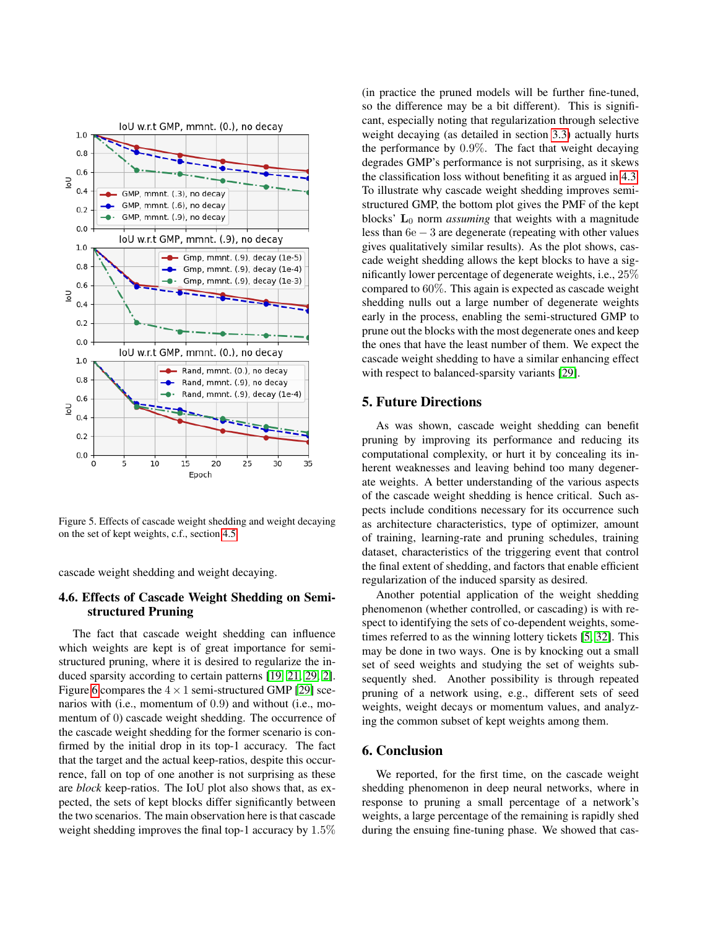

<span id="page-6-2"></span>Figure 5. Effects of cascade weight shedding and weight decaying on the set of kept weights, c.f., section [4.5.](#page-5-1)

cascade weight shedding and weight decaying.

## <span id="page-6-0"></span>4.6. Effects of Cascade Weight Shedding on Semistructured Pruning

The fact that cascade weight shedding can influence which weights are kept is of great importance for semistructured pruning, where it is desired to regularize the induced sparsity according to certain patterns [\[19,](#page-8-1) [21,](#page-8-20) [29,](#page-8-2) [2\]](#page-7-10). Figure [6](#page-7-11) compares the  $4 \times 1$  semi-structured GMP [\[29\]](#page-8-2) scenarios with (i.e., momentum of 0.9) and without (i.e., momentum of 0) cascade weight shedding. The occurrence of the cascade weight shedding for the former scenario is confirmed by the initial drop in its top-1 accuracy. The fact that the target and the actual keep-ratios, despite this occurrence, fall on top of one another is not surprising as these are *block* keep-ratios. The IoU plot also shows that, as expected, the sets of kept blocks differ significantly between the two scenarios. The main observation here is that cascade weight shedding improves the final top-1 accuracy by 1.5%

(in practice the pruned models will be further fine-tuned, so the difference may be a bit different). This is significant, especially noting that regularization through selective weight decaying (as detailed in section [3.3\)](#page-2-2) actually hurts the performance by 0.9%. The fact that weight decaying degrades GMP's performance is not surprising, as it skews the classification loss without benefiting it as argued in [4.3.](#page-4-0) To illustrate why cascade weight shedding improves semistructured GMP, the bottom plot gives the PMF of the kept blocks' L<sub>0</sub> norm *assuming* that weights with a magnitude less than 6e − 3 are degenerate (repeating with other values gives qualitatively similar results). As the plot shows, cascade weight shedding allows the kept blocks to have a significantly lower percentage of degenerate weights, i.e., 25% compared to 60%. This again is expected as cascade weight shedding nulls out a large number of degenerate weights early in the process, enabling the semi-structured GMP to prune out the blocks with the most degenerate ones and keep the ones that have the least number of them. We expect the cascade weight shedding to have a similar enhancing effect with respect to balanced-sparsity variants [\[29\]](#page-8-2).

#### <span id="page-6-1"></span>5. Future Directions

As was shown, cascade weight shedding can benefit pruning by improving its performance and reducing its computational complexity, or hurt it by concealing its inherent weaknesses and leaving behind too many degenerate weights. A better understanding of the various aspects of the cascade weight shedding is hence critical. Such aspects include conditions necessary for its occurrence such as architecture characteristics, type of optimizer, amount of training, learning-rate and pruning schedules, training dataset, characteristics of the triggering event that control the final extent of shedding, and factors that enable efficient regularization of the induced sparsity as desired.

Another potential application of the weight shedding phenomenon (whether controlled, or cascading) is with respect to identifying the sets of co-dependent weights, sometimes referred to as the winning lottery tickets [\[5,](#page-7-9) [32\]](#page-8-15). This may be done in two ways. One is by knocking out a small set of seed weights and studying the set of weights subsequently shed. Another possibility is through repeated pruning of a network using, e.g., different sets of seed weights, weight decays or momentum values, and analyzing the common subset of kept weights among them.

## 6. Conclusion

We reported, for the first time, on the cascade weight shedding phenomenon in deep neural networks, where in response to pruning a small percentage of a network's weights, a large percentage of the remaining is rapidly shed during the ensuing fine-tuning phase. We showed that cas-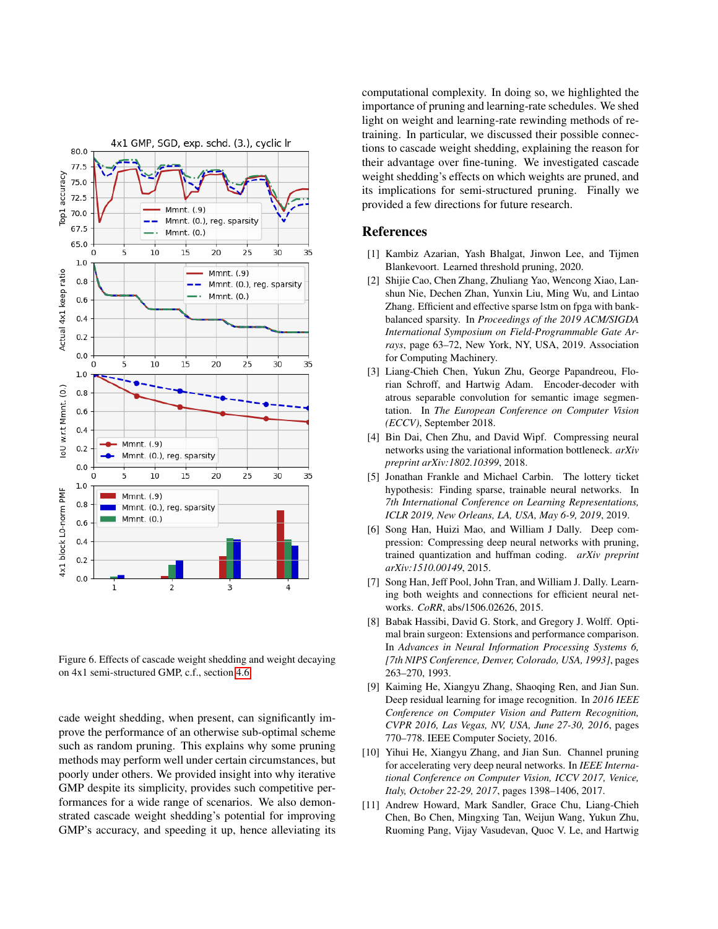

<span id="page-7-11"></span>Figure 6. Effects of cascade weight shedding and weight decaying on 4x1 semi-structured GMP, c.f., section [4.6.](#page-6-0)

cade weight shedding, when present, can significantly improve the performance of an otherwise sub-optimal scheme such as random pruning. This explains why some pruning methods may perform well under certain circumstances, but poorly under others. We provided insight into why iterative GMP despite its simplicity, provides such competitive performances for a wide range of scenarios. We also demonstrated cascade weight shedding's potential for improving GMP's accuracy, and speeding it up, hence alleviating its

computational complexity. In doing so, we highlighted the importance of pruning and learning-rate schedules. We shed light on weight and learning-rate rewinding methods of retraining. In particular, we discussed their possible connections to cascade weight shedding, explaining the reason for their advantage over fine-tuning. We investigated cascade weight shedding's effects on which weights are pruned, and its implications for semi-structured pruning. Finally we provided a few directions for future research.

# References

- <span id="page-7-1"></span>[1] Kambiz Azarian, Yash Bhalgat, Jinwon Lee, and Tijmen Blankevoort. Learned threshold pruning, 2020.
- <span id="page-7-10"></span>[2] Shijie Cao, Chen Zhang, Zhuliang Yao, Wencong Xiao, Lanshun Nie, Dechen Zhan, Yunxin Liu, Ming Wu, and Lintao Zhang. Efficient and effective sparse lstm on fpga with bankbalanced sparsity. In *Proceedings of the 2019 ACM/SIGDA International Symposium on Field-Programmable Gate Arrays*, page 63–72, New York, NY, USA, 2019. Association for Computing Machinery.
- <span id="page-7-5"></span>[3] Liang-Chieh Chen, Yukun Zhu, George Papandreou, Florian Schroff, and Hartwig Adam. Encoder-decoder with atrous separable convolution for semantic image segmentation. In *The European Conference on Computer Vision (ECCV)*, September 2018.
- <span id="page-7-3"></span>[4] Bin Dai, Chen Zhu, and David Wipf. Compressing neural networks using the variational information bottleneck. *arXiv preprint arXiv:1802.10399*, 2018.
- <span id="page-7-9"></span>[5] Jonathan Frankle and Michael Carbin. The lottery ticket hypothesis: Finding sparse, trainable neural networks. In *7th International Conference on Learning Representations, ICLR 2019, New Orleans, LA, USA, May 6-9, 2019*, 2019.
- <span id="page-7-8"></span>[6] Song Han, Huizi Mao, and William J Dally. Deep compression: Compressing deep neural networks with pruning, trained quantization and huffman coding. *arXiv preprint arXiv:1510.00149*, 2015.
- <span id="page-7-0"></span>[7] Song Han, Jeff Pool, John Tran, and William J. Dally. Learning both weights and connections for efficient neural networks. *CoRR*, abs/1506.02626, 2015.
- <span id="page-7-7"></span>[8] Babak Hassibi, David G. Stork, and Gregory J. Wolff. Optimal brain surgeon: Extensions and performance comparison. In *Advances in Neural Information Processing Systems 6, [7th NIPS Conference, Denver, Colorado, USA, 1993]*, pages 263–270, 1993.
- <span id="page-7-4"></span>[9] Kaiming He, Xiangyu Zhang, Shaoqing Ren, and Jian Sun. Deep residual learning for image recognition. In *2016 IEEE Conference on Computer Vision and Pattern Recognition, CVPR 2016, Las Vegas, NV, USA, June 27-30, 2016*, pages 770–778. IEEE Computer Society, 2016.
- <span id="page-7-2"></span>[10] Yihui He, Xiangyu Zhang, and Jian Sun. Channel pruning for accelerating very deep neural networks. In *IEEE International Conference on Computer Vision, ICCV 2017, Venice, Italy, October 22-29, 2017*, pages 1398–1406, 2017.
- <span id="page-7-6"></span>[11] Andrew Howard, Mark Sandler, Grace Chu, Liang-Chieh Chen, Bo Chen, Mingxing Tan, Weijun Wang, Yukun Zhu, Ruoming Pang, Vijay Vasudevan, Quoc V. Le, and Hartwig